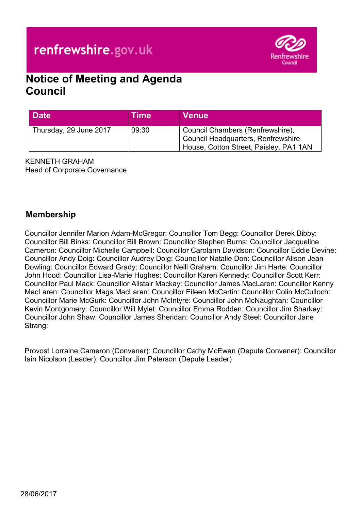# renfrewshire.gov.uk



# **Notice of Meeting and Agenda Council**

| <b>Date</b>            | <b>Time</b> | <b>Venue</b>                                                                                                     |
|------------------------|-------------|------------------------------------------------------------------------------------------------------------------|
| Thursday, 29 June 2017 | 09:30       | Council Chambers (Renfrewshire),<br>Council Headquarters, Renfrewshire<br>House, Cotton Street, Paisley, PA1 1AN |

KENNETH GRAHAM Head of Corporate Governance

# **Membership**

Councillor Jennifer Marion Adam-McGregor: Councillor Tom Begg: Councillor Derek Bibby: Councillor Bill Binks: Councillor Bill Brown: Councillor Stephen Burns: Councillor Jacqueline Cameron: Councillor Michelle Campbell: Councillor Carolann Davidson: Councillor Eddie Devine: Councillor Andy Doig: Councillor Audrey Doig: Councillor Natalie Don: Councillor Alison Jean Dowling: Councillor Edward Grady: Councillor Neill Graham: Councillor Jim Harte: Councillor John Hood: Councillor Lisa-Marie Hughes: Councillor Karen Kennedy: Councillor Scott Kerr: Councillor Paul Mack: Councillor Alistair Mackay: Councillor James MacLaren: Councillor Kenny MacLaren: Councillor Mags MacLaren: Councillor Eileen McCartin: Councillor Colin McCulloch: Councillor Marie McGurk: Councillor John McIntyre: Councillor John McNaughtan: Councillor Kevin Montgomery: Councillor Will Mylet: Councillor Emma Rodden: Councillor Jim Sharkey: Councillor John Shaw: Councillor James Sheridan: Councillor Andy Steel: Councillor Jane Strang:

Provost Lorraine Cameron (Convener): Councillor Cathy McEwan (Depute Convener): Councillor Iain Nicolson (Leader): Councillor Jim Paterson (Depute Leader)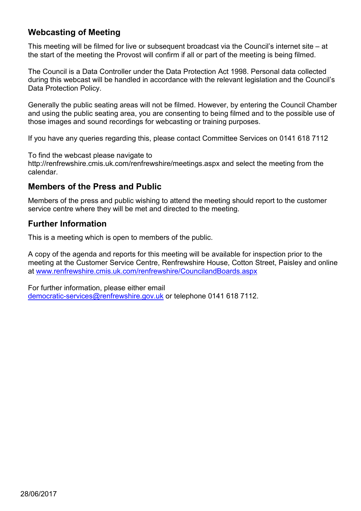# **Webcasting of Meeting**

This meeting will be filmed for live or subsequent broadcast via the Council's internet site – at the start of the meeting the Provost will confirm if all or part of the meeting is being filmed.

The Council is a Data Controller under the Data Protection Act 1998. Personal data collected during this webcast will be handled in accordance with the relevant legislation and the Council's Data Protection Policy.

Generally the public seating areas will not be filmed. However, by entering the Council Chamber and using the public seating area, you are consenting to being filmed and to the possible use of those images and sound recordings for webcasting or training purposes.

If you have any queries regarding this, please contact Committee Services on 0141 618 7112

To find the webcast please navigate to

http://renfrewshire.cmis.uk.com/renfrewshire/meetings.aspx and select the meeting from the calendar.

# **Members of the Press and Public**

Members of the press and public wishing to attend the meeting should report to the customer service centre where they will be met and directed to the meeting.

# **Further Information**

This is a meeting which is open to members of the public.

A copy of the agenda and reports for this meeting will be available for inspection prior to the meeting at the Customer Service Centre, Renfrewshire House, Cotton Street, Paisley and online at [www.renfrewshire.cmis.uk.com/renfrewshire/CouncilandBoards.aspx](http://www.renfrewshire.cmis.uk.com/renfrewshire/CouncilandBoards.aspx)

For further information, please either email [democratic-services@renfrewshire.gov.uk](mailto:democratic-services@renfrewshire.gov.uk) or telephone 0141 618 7112.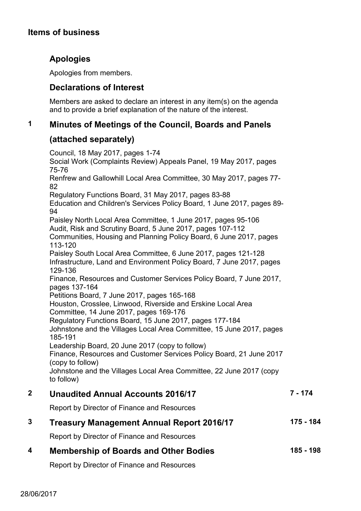# **Items of business**

# **Apologies**

Apologies from members.

# **Declarations of Interest**

Members are asked to declare an interest in any item(s) on the agenda and to provide a brief explanation of the nature of the interest.

## **1 Minutes of Meetings of the Council, Boards and Panels**

## **(attached separately)**

Council, 18 May 2017, pages 1-74 Social Work (Complaints Review) Appeals Panel, 19 May 2017, pages 75-76 Renfrew and Gallowhill Local Area Committee, 30 May 2017, pages 77- 82 Regulatory Functions Board, 31 May 2017, pages 83-88 Education and Children's Services Policy Board, 1 June 2017, pages 89- 94 Paisley North Local Area Committee, 1 June 2017, pages 95-106 Audit, Risk and Scrutiny Board, 5 June 2017, pages 107-112 Communities, Housing and Planning Policy Board, 6 June 2017, pages 113-120 Paisley South Local Area Committee, 6 June 2017, pages 121-128 Infrastructure, Land and Environment Policy Board, 7 June 2017, pages 129-136 Finance, Resources and Customer Services Policy Board, 7 June 2017, pages 137-164 Petitions Board, 7 June 2017, pages 165-168 Houston, Crosslee, Linwood, Riverside and Erskine Local Area Committee, 14 June 2017, pages 169-176 Regulatory Functions Board, 15 June 2017, pages 177-184 Johnstone and the Villages Local Area Committee, 15 June 2017, pages 185-191 Leadership Board, 20 June 2017 (copy to follow) Finance, Resources and Customer Services Policy Board, 21 June 2017 (copy to follow) Johnstone and the Villages Local Area Committee, 22 June 2017 (copy to follow) **2 Unaudited Annual Accounts 2016/17 7 - 174**

Report by Director of Finance and Resources

### **3 Treasury Management Annual Report 2016/17 175 - 184**

Report by Director of Finance and Resources

#### **4 Membership of Boards and Other Bodies 185 - 198**

Report by Director of Finance and Resources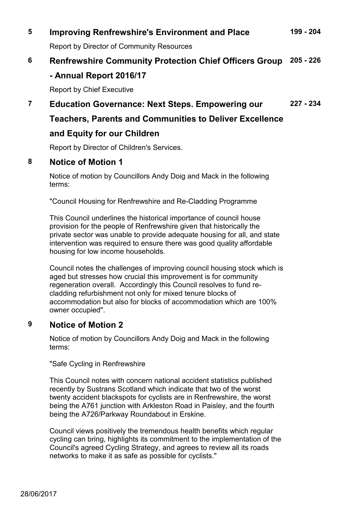#### **5 Improving Renfrewshire's Environment and Place 199 - 204**

Report by Director of Community Resources

# **6 Renfrewshire Community Protection Chief Officers Group 205 - 226 - Annual Report 2016/17**

Report by Chief Executive

#### **7 Education Governance: Next Steps. Empowering our 227 - 234**

# **Teachers, Parents and Communities to Deliver Excellence**

## **and Equity for our Children**

Report by Director of Children's Services.

# **8 Notice of Motion 1**

Notice of motion by Councillors Andy Doig and Mack in the following terms:

"Council Housing for Renfrewshire and Re-Cladding Programme

This Council underlines the historical importance of council house provision for the people of Renfrewshire given that historically the private sector was unable to provide adequate housing for all, and state intervention was required to ensure there was good quality affordable housing for low income households.

Council notes the challenges of improving council housing stock which is aged but stresses how crucial this improvement is for community regeneration overall. Accordingly this Council resolves to fund recladding refurbishment not only for mixed tenure blocks of accommodation but also for blocks of accommodation which are 100% owner occupied".

## **9 Notice of Motion 2**

Notice of motion by Councillors Andy Doig and Mack in the following terms:

"Safe Cycling in Renfrewshire

This Council notes with concern national accident statistics published recently by Sustrans Scotland which indicate that two of the worst twenty accident blackspots for cyclists are in Renfrewshire, the worst being the A761 junction with Arkleston Road in Paisley, and the fourth being the A726/Parkway Roundabout in Erskine.

Council views positively the tremendous health benefits which regular cycling can bring, highlights its commitment to the implementation of the Council's agreed Cycling Strategy, and agrees to review all its roads networks to make it as safe as possible for cyclists."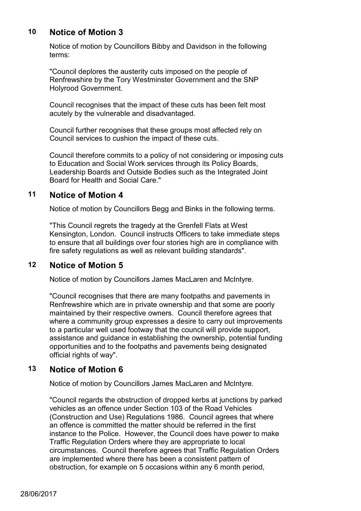# **10 Notice of Motion 3**

Notice of motion by Councillors Bibby and Davidson in the following terms:

"Council deplores the austerity cuts imposed on the people of Renfrewshire by the Tory Westminster Government and the SNP Holyrood Government.

Council recognises that the impact of these cuts has been felt most acutely by the vulnerable and disadvantaged.

Council further recognises that these groups most affected rely on Council services to cushion the impact of these cuts.

Council therefore commits to a policy of not considering or imposing cuts to Education and Social Work services through its Policy Boards, Leadership Boards and Outside Bodies such as the Integrated Joint Board for Health and Social Care."

### **11 Notice of Motion 4**

Notice of motion by Councillors Begg and Binks in the following terms.

"This Council regrets the tragedy at the Grenfell Flats at West Kensington, London. Council instructs Officers to take immediate steps to ensure that all buildings over four stories high are in compliance with fire safety regulations as well as relevant building standards".

## **12 Notice of Motion 5**

Notice of motion by Councillors James MacLaren and McIntyre.

"Council recognises that there are many footpaths and pavements in Renfrewshire which are in private ownership and that some are poorly maintained by their respective owners. Council therefore agrees that where a community group expresses a desire to carry out improvements to a particular well used footway that the council will provide support, assistance and guidance in establishing the ownership, potential funding opportunities and to the footpaths and pavements being designated official rights of way".

### **13 Notice of Motion 6**

Notice of motion by Councillors James MacLaren and McIntyre.

"Council regards the obstruction of dropped kerbs at junctions by parked vehicles as an offence under Section 103 of the Road Vehicles (Construction and Use) Regulations 1986. Council agrees that where an offence is committed the matter should be referred in the first instance to the Police. However, the Council does have power to make Traffic Regulation Orders where they are appropriate to local circumstances. Council therefore agrees that Traffic Regulation Orders are implemented where there has been a consistent pattern of obstruction, for example on 5 occasions within any 6 month period,